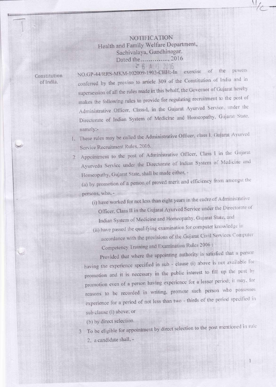## NOTIFICATION Health and Family Welfare Department, Sachivalaya, Gandhinagar.  $1.11111122016$ Dated the... F 6 AUG 201

Constitution of India.

NO.GP-44/RRS-MKM-102009-1903-CHH:-In exercise of the powers conferred by the proviso to article 309 of the Constitution of India and in supersession of all the rules made in this behalf, the Governor of Gujarat hereby makes the following rules to provide for regulating recruitment to the post of Administrative Officer, Class-I, in the Gujarat Ayurved Service, under the Directorate of Indian System of Medicine and Homeopathy, Gujarat State, namely:-

I. These rules may be called the Administrative Officer, class I. Gujarat Ayurved Service Recruitment Rules, 2016.

Appointment to the post of Administrative Officer, Class 1 in the Gujarat  $\overline{2}$ Ayurveda Service under the Directorate of Indian System of Medicine and Homeopathy, Gujarat State, shall be made either, -

(a) by promotion of a person of proved merit and efficiency from amongst the persons, who, -

- (i) have worked for not less than eight years in the cadre of Administrative Officer, Class II in the Gujarat Ayurved Service under the Directorate of Indian System of Medicine and Homeopathy, Gujarat State, and
- (ii) have passed the qualifying examination for computer knowledge in accordance with the provisions of the Gujarat Civil Services Computer Competency Training and Examination Rules 2006:

Provided that where the appointing authority is satisfied that a person having the experience specified in sub - clause (i) above is not available for promotion and it is necessary in the public interest to fill up the post by promotion even of a person having experience for a lesser period; it may, for reasons to be recorded in writing, promote such person who possesses experience for a period of not less than two - thirds of the period specified in sub clause (i) above; or

(b) by direct selection.

To be eligible for appointment by direct selection to the post mentioned in rule  $\overline{3}$ 2. a candidate shall. -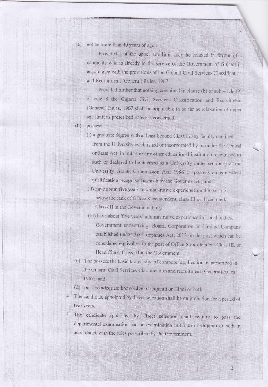## not be more than 40 years of age :  $(a)$

Provided that the upper age limit may be relaxed in favour of a candidate who is already in the service of the Government of Gujarat in accordance with the provisions of the Gujarat Civil Services Classification and Recruitment (General) Rules, 1967:

Provided further that nothing contained in clause (b) of sub - rule (9) of rule 8 the Gujarat Civil Services Classification and Recruitment (General) Rules, 1967 shall be applicable in so far as relaxation of upper age limit as prescribed above is concerned.

possess  $(b)$ 

- (i) a graduate degree with at least Second Class in any faculty obtained from the University established or incorporated by or under the Central or State Act in India; or any other educational institution recognised as such or declared to be deemed as a University under section 3 of the University Grants Commission Act, 1956 or possess an equivalent qualification recognised as such by the Government ; and
- (ii) have about five years' administrative experience on the post not below the rank of Office Suprintendent, class III or Head clerk, Class-III in the Government,  $or \angle$
- (iii) have about 'five years' administrative experience in Local bodies, Government undertaking, Board, Corporation or Limited Company established under the Companies Act, 2013 on the post which can be considered equivalent to the post of Office Suprintendent Class III, or Head Clerk, Class III in the Government.
- (c) The possess the basic knowledge of computer application as prescribed in the Gujarat Civil Services Classification and recruitment (General) Rules 1967; and
- (d) possess adequate knowledge of Gujarati or Hindi or both.
- The candidate appointed by direct selection shall be on probation for a period of  $\Delta$ two years.
- The candidate appointed by direct selection shall require to pass the departmental examination and an examination in Hindi or Gujarati or both in accordance with the rules prescribed by the Government.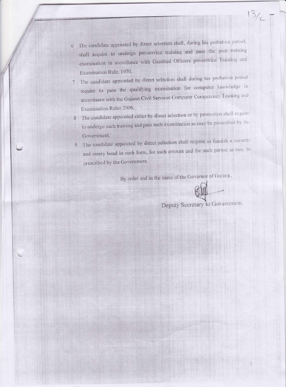- The candidate appointed by direct selection shall, during his probation period, 6 shall require to undergo pre-service training and pass the post training examination in accordance with Gazetted Officers pre-service Training and Examination Rule, 1970.
- The candidate appointed by direct selection shall during his probation period 7 require to pass the qualifying examination for computer knowledge in accordance with the Gujarat Civil Services Computer Competency Training and Examination Rules 2006.
- The candidate appointed either by direct selection or by promotion shall require 8 to undergo such training and pass such examination as may be prescribed by the Government.
- The candidate appointed by direct selection shall require to furnish a security  $Q$ and surety bond in such form, for such amount and for such period as may be prescribed by the Government.

By order and in the name of the Governor of Gujarat,

Deputy Secretary to Government.